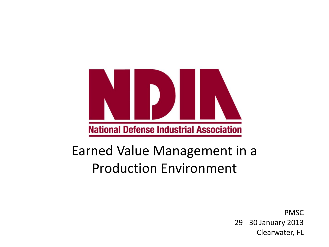

# Earned Value Management in a Production Environment

PMSC 29 - 30 January 2013 Clearwater, FL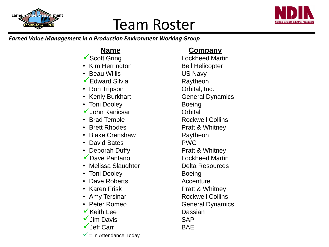

# Team Roster



### *Earned Value Management in a Production Environment Working Group*

- ▼ Scott Gring Lockheed Martin
- Kim Herrington Bell Helicopter
- **Beau Willis Communist Communist Communist Communist Communist Communist Communist Communist Communist Communist Communist Communist Communist Communist Communist Communist Communist Communist Communist Communist Communist**
- Edward Silvia **Raytheon**
- Ron Tripson **Construction** Orbital, Inc.
- Kenly Burkhart General Dynamics
- Toni Dooley Boeing
- $\checkmark$  John Kanicsar  $\checkmark$  Orbital
- 
- Brett Rhodes **Pratt & Whitney**
- Blake Crenshaw Raytheon
- David Bates PWC
- Deborah Duffy **Pratt & Whitney**
- ◆ Dave Pantano Lockheed Martin
- Melissa Slaughter **Frankling Controller** Delta Resources
- Toni Dooley Boeing
- Dave Roberts **Accenture**
- 
- 
- Peter Romeo General Dynamics
- **Keith Lee Dassian**
- Jim Davis **SAP**
- Jeff Carr BAE
- $\checkmark$  = In Attendance Todav

### **Name Company**

- 
- 
- 
- 
- Brad Temple Rockwell Collins
	-
	-
	-
	-
	-
	-
	-
	-
	- **Karen Frisk Communist Communist Pratt & Whitney**
- Amy Tersinar Rockwell Collins
	-
	-
	-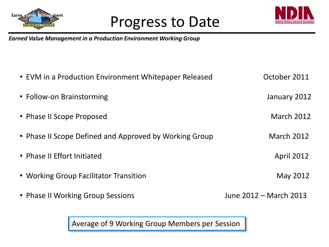

### Progress to Date



*Earned Value Management in a Production Environment Working Group*

| • EVM in a Production Environment Whitepaper Released  | October 2011           |
|--------------------------------------------------------|------------------------|
| • Follow-on Brainstorming                              | January 2012           |
| • Phase II Scope Proposed                              | <b>March 2012</b>      |
| • Phase II Scope Defined and Approved by Working Group | <b>March 2012</b>      |
| • Phase II Effort Initiated                            | <b>April 2012</b>      |
| • Working Group Facilitator Transition                 | May 2012               |
| • Phase II Working Group Sessions                      | June 2012 – March 2013 |

Average of 9 Working Group Members per Session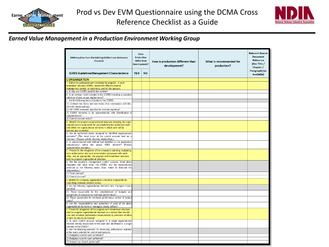



#### *Earned Value Management in a Production Environment Working Group*

| EVM Inquiries from the Existing DCMA Cross-Reference<br><b>Checklist</b>                                                          | <b>Does</b><br><b>Production</b><br><b>Differ from</b><br><b>Development?</b> |           | How is production different than<br>development? | What is recommended for<br>production? | <b>Relevant Source</b><br><b>Document</b><br>Reference<br>(Doc Title /<br>Chapter / |
|-----------------------------------------------------------------------------------------------------------------------------------|-------------------------------------------------------------------------------|-----------|--------------------------------------------------|----------------------------------------|-------------------------------------------------------------------------------------|
| <b>EVMS Guidelines/Management Characteristics</b>                                                                                 | <b>YES</b>                                                                    | <b>NO</b> |                                                  |                                        | Paragraph) (as<br><b>Available</b> )                                                |
| <b>ORGANIZATION</b>                                                                                                               |                                                                               |           |                                                  |                                        |                                                                                     |
| Define the authorized work elements for program. A work                                                                           |                                                                               |           |                                                  |                                        |                                                                                     |
| breakdown structure (WBS), tailored for effective internal                                                                        |                                                                               |           |                                                  |                                        |                                                                                     |
| management control, is commonly used in this process.<br>a. Is only one CWBS used for the contract                                |                                                                               |           |                                                  |                                        |                                                                                     |
| b. Is all contract work included in the CWBS including a complete                                                                 |                                                                               |           |                                                  |                                        |                                                                                     |
| definition of work scope requirements?                                                                                            |                                                                               |           |                                                  |                                        |                                                                                     |
| c. Are the following items included in the CWBS:                                                                                  |                                                                               |           |                                                  |                                        |                                                                                     |
| (1) Contract line items and end items (if in consonance with MIL-                                                                 |                                                                               |           |                                                  |                                        |                                                                                     |
| STD-881 latest edition)?                                                                                                          |                                                                               |           |                                                  |                                        |                                                                                     |
| (2) All CWBS elements specified for external reporting?                                                                           |                                                                               |           |                                                  |                                        |                                                                                     |
| (3) CWBS elements to be subcontracted, with identification of<br>subcontractors?                                                  |                                                                               |           |                                                  |                                        |                                                                                     |
| (4) Control account levels?                                                                                                       |                                                                               |           |                                                  |                                        |                                                                                     |
| 2. Identify the program organizational structure including the major                                                              |                                                                               |           |                                                  |                                        |                                                                                     |
| subcontractors responsible for accomplishing the authorized work.                                                                 |                                                                               |           |                                                  |                                        |                                                                                     |
| and define the organizational elements in which work will be                                                                      |                                                                               |           |                                                  |                                        |                                                                                     |
| planned and controlled.                                                                                                           |                                                                               |           |                                                  |                                        |                                                                                     |
| a. Are all authorized tasks assigned to identified organizational<br>elements? (This must occur at the control account level as a |                                                                               |           |                                                  |                                        |                                                                                     |
| minimum. Prepare exhibit showing relationships.)                                                                                  |                                                                               |           |                                                  |                                        |                                                                                     |
| b. Is subcontracted work defined and identified to the appropriate                                                                |                                                                               |           |                                                  |                                        |                                                                                     |
| subcontractor within the proper WBS element? (Provide                                                                             |                                                                               |           |                                                  |                                        |                                                                                     |
| representative example.)<br>3. Provide for the integration of the company's planning, budgeting,                                  |                                                                               |           |                                                  |                                        |                                                                                     |
| work authorization and cost accumulation processed with each                                                                      |                                                                               |           |                                                  |                                        |                                                                                     |
| other, and as appropriate, the program work breakdown structure                                                                   |                                                                               |           |                                                  |                                        |                                                                                     |
| and the program organizational structure.                                                                                         |                                                                               |           |                                                  |                                        |                                                                                     |
| a. Are the supplier's management control systems listed above                                                                     |                                                                               |           |                                                  |                                        |                                                                                     |
| integrated with each other, the CWBS, and the organizational<br>structure at the following levels: (Use matrix to illustrate the  |                                                                               |           |                                                  |                                        |                                                                                     |
| relationships.)                                                                                                                   |                                                                               |           |                                                  |                                        |                                                                                     |
| (1) Total contract?                                                                                                               |                                                                               |           |                                                  |                                        |                                                                                     |
| (2) Control account?                                                                                                              |                                                                               |           |                                                  |                                        |                                                                                     |
| 4. Identify the company organization or function responsible for                                                                  |                                                                               |           |                                                  |                                        |                                                                                     |
| controlling overhead (indirect costs).                                                                                            |                                                                               |           |                                                  |                                        |                                                                                     |
| a. Are the following organizational elements and managers clearly<br>identified:                                                  |                                                                               |           |                                                  |                                        |                                                                                     |
| (1) Those responsible for the establishment of budgets and                                                                        |                                                                               |           |                                                  |                                        |                                                                                     |
| assignment of resources for overhead performance?                                                                                 |                                                                               |           |                                                  |                                        |                                                                                     |
| (2) Those responsible for overhead performance control of related                                                                 |                                                                               |           |                                                  |                                        |                                                                                     |
| costs?                                                                                                                            |                                                                               |           |                                                  |                                        |                                                                                     |
| b. Are the responsibilities and authorities of each of the above                                                                  |                                                                               |           |                                                  |                                        |                                                                                     |
| organizational elements or managers clearly defined?<br>5. Provide for integration of the program work breakdown structure        |                                                                               |           |                                                  |                                        |                                                                                     |
| and the program organizational structure in a manner that permits                                                                 |                                                                               |           |                                                  |                                        |                                                                                     |
| cost and schedule performance measurement by elements of either                                                                   |                                                                               |           |                                                  |                                        |                                                                                     |
| or both structures as needed.                                                                                                     |                                                                               |           |                                                  |                                        |                                                                                     |
| a. Is each control account assigned to a single organizational                                                                    |                                                                               |           |                                                  |                                        |                                                                                     |
| element directly responsible for the work and identifiable to a single<br>element of the CWBS?                                    |                                                                               |           |                                                  |                                        |                                                                                     |
| b. Are the following elements for measuring performance available                                                                 |                                                                               |           |                                                  |                                        |                                                                                     |
| at the levels selected for control and analysis:                                                                                  |                                                                               |           |                                                  |                                        |                                                                                     |
| (1) Budgeted cost for work scheduled?                                                                                             |                                                                               |           |                                                  |                                        |                                                                                     |
| (2) Budgeted cost for work performed?                                                                                             |                                                                               |           |                                                  |                                        |                                                                                     |
| (3) Actual cost of work performed?                                                                                                |                                                                               |           |                                                  |                                        |                                                                                     |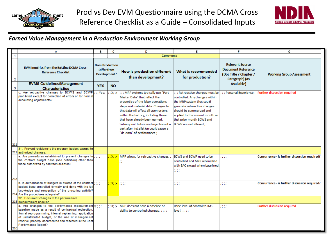



#### *Earned Value Management in a Production Environment Working Group*

|     | А                                                                                                                                                                                                                                                                                                              | в                                                     | c                                                                                | D                                                                                                                                                                                                                                                                                                                                                                                                | E                                                                                                                                                                                                                                                    | F                                                                                               | G                                             |  |
|-----|----------------------------------------------------------------------------------------------------------------------------------------------------------------------------------------------------------------------------------------------------------------------------------------------------------------|-------------------------------------------------------|----------------------------------------------------------------------------------|--------------------------------------------------------------------------------------------------------------------------------------------------------------------------------------------------------------------------------------------------------------------------------------------------------------------------------------------------------------------------------------------------|------------------------------------------------------------------------------------------------------------------------------------------------------------------------------------------------------------------------------------------------------|-------------------------------------------------------------------------------------------------|-----------------------------------------------|--|
| 1   |                                                                                                                                                                                                                                                                                                                |                                                       |                                                                                  | <b>Comments</b>                                                                                                                                                                                                                                                                                                                                                                                  |                                                                                                                                                                                                                                                      |                                                                                                 |                                               |  |
| 2   | <b>EVM Inquiries from the Existing DCMA Cross-</b><br><b>Reference Checklist</b>                                                                                                                                                                                                                               | <b>Does Production</b><br>Differ from<br>Development? |                                                                                  | How is production different<br>than development?                                                                                                                                                                                                                                                                                                                                                 | What is recommended<br>for production?                                                                                                                                                                                                               | <b>Relevant Source</b><br><b>Document Reference</b><br>(Doc Title / Chapter /<br>Paragraph) (as | <b>Working Group Assessment</b>               |  |
| з   | <b>EVMS Guidelines/Management</b><br><b>Characteristics</b>                                                                                                                                                                                                                                                    | <b>YES</b>                                            | <b>NO</b>                                                                        |                                                                                                                                                                                                                                                                                                                                                                                                  |                                                                                                                                                                                                                                                      | Available)                                                                                      |                                               |  |
| 211 | c. Are retroactive changes to BCWS and BCWP<br>prohibited except for correction of errors or for normal<br>accounting adjustments?                                                                                                                                                                             | $::$ Yes;                                             |                                                                                  | ; ; X; ;x  ; ; ; MRP systems typically use "Part<br>Master Data" that reflect the<br>properties of the labor operations<br>steps and material data. Changes to<br>this data will affect all open orders<br>within the factory, including those<br>that have already been earned.<br>Subsequent failure and rejection of a<br>part after installation could cause a<br>"de-earn" of performance.; | ::: Retroactive changes must be<br>controlled. Any changes within<br>the MRP system that could<br>generate retroactive changes<br>should be summarized and<br>applied to the current month so<br>that prior month BCWS and<br>BCWP are not altered.; | : : : Personal Experience;                                                                      | <b>Further discussion required</b>            |  |
|     | 31. Prevent revisions to the program budget except for<br>212 authorized changes.                                                                                                                                                                                                                              |                                                       |                                                                                  |                                                                                                                                                                                                                                                                                                                                                                                                  |                                                                                                                                                                                                                                                      |                                                                                                 |                                               |  |
|     | a. Are procedures established to prevent changes to ;;;;<br>the contract budget base (see definition) other than<br>those authorized by contractual action?                                                                                                                                                    |                                                       | : X: x                                                                           | MRP allows for retroactive changes; ;                                                                                                                                                                                                                                                                                                                                                            | BCWS and BCWP need to be<br>controlled and MRP reconcilied<br>with EAC except when base lined.<br>a a a<br>,,,,                                                                                                                                      | $\mathbb{R}$                                                                                    | Concurrence - is further discussion required? |  |
| 213 |                                                                                                                                                                                                                                                                                                                |                                                       |                                                                                  |                                                                                                                                                                                                                                                                                                                                                                                                  |                                                                                                                                                                                                                                                      |                                                                                                 |                                               |  |
|     | b. Is authorization of budgets in excess of the contract $ $ ;;;;<br>budget base controlled formally and done with the full<br>knowledge and recognition of the procuring activity?<br>214 Are the procedures adequate?                                                                                        |                                                       | $\left  \cdot ;\right\rangle \mathbf{X};\mathbf{x}\left  \cdot ;\right\rangle$ ; |                                                                                                                                                                                                                                                                                                                                                                                                  | $\cdots$                                                                                                                                                                                                                                             | $\mathbf{H}$                                                                                    | Concurrence - is further discussion required? |  |
|     | 32. Document changes to the performance<br>215 measurement baseline.                                                                                                                                                                                                                                           |                                                       |                                                                                  |                                                                                                                                                                                                                                                                                                                                                                                                  |                                                                                                                                                                                                                                                      |                                                                                                 |                                               |  |
| 216 | a. Are changes to the performance measurement $x$ ;;;<br>baseline made as a result of contractual redirection.<br>formal reprogramming, internal replanning, application<br>of undistributed budget, or the use of management<br>reserve, properly documented and reflected in the Cost<br>Performance Report? |                                                       | ::X::x                                                                           | MRP does not have a baseline or<br>ability to controlled changes. ::::                                                                                                                                                                                                                                                                                                                           | Raise level of control to IMS<br>level. $7777$                                                                                                                                                                                                       | $\vdots$                                                                                        | <b>Further discussion required</b>            |  |